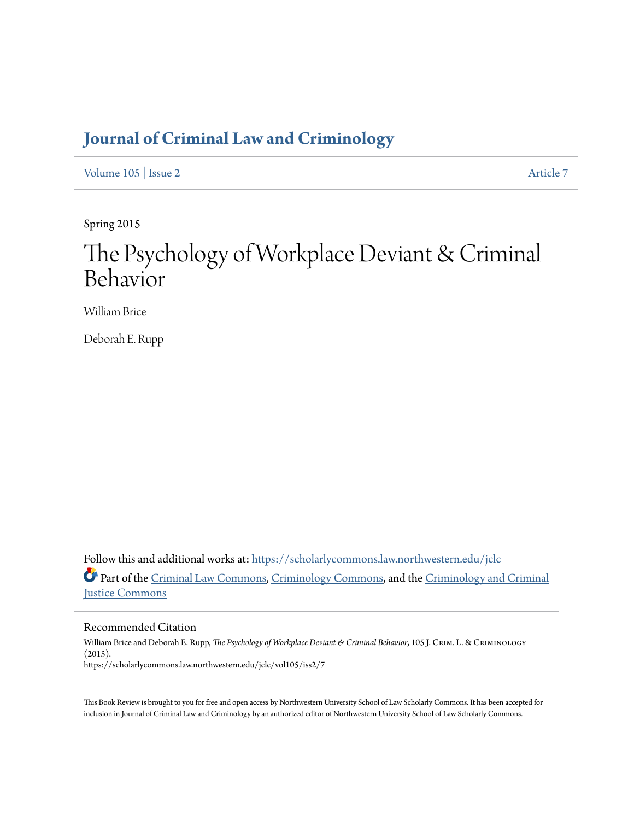# **[Journal of Criminal Law and Criminology](https://scholarlycommons.law.northwestern.edu/jclc?utm_source=scholarlycommons.law.northwestern.edu%2Fjclc%2Fvol105%2Fiss2%2F7&utm_medium=PDF&utm_campaign=PDFCoverPages)**

[Volume 105](https://scholarlycommons.law.northwestern.edu/jclc/vol105?utm_source=scholarlycommons.law.northwestern.edu%2Fjclc%2Fvol105%2Fiss2%2F7&utm_medium=PDF&utm_campaign=PDFCoverPages) | [Issue 2](https://scholarlycommons.law.northwestern.edu/jclc/vol105/iss2?utm_source=scholarlycommons.law.northwestern.edu%2Fjclc%2Fvol105%2Fiss2%2F7&utm_medium=PDF&utm_campaign=PDFCoverPages) [Article 7](https://scholarlycommons.law.northwestern.edu/jclc/vol105/iss2/7?utm_source=scholarlycommons.law.northwestern.edu%2Fjclc%2Fvol105%2Fiss2%2F7&utm_medium=PDF&utm_campaign=PDFCoverPages)

Spring 2015

# The Psychology of Workplace Deviant & Criminal Behavior

William Brice

Deborah E. Rupp

Follow this and additional works at: [https://scholarlycommons.law.northwestern.edu/jclc](https://scholarlycommons.law.northwestern.edu/jclc?utm_source=scholarlycommons.law.northwestern.edu%2Fjclc%2Fvol105%2Fiss2%2F7&utm_medium=PDF&utm_campaign=PDFCoverPages) Part of the [Criminal Law Commons](http://network.bepress.com/hgg/discipline/912?utm_source=scholarlycommons.law.northwestern.edu%2Fjclc%2Fvol105%2Fiss2%2F7&utm_medium=PDF&utm_campaign=PDFCoverPages), [Criminology Commons](http://network.bepress.com/hgg/discipline/417?utm_source=scholarlycommons.law.northwestern.edu%2Fjclc%2Fvol105%2Fiss2%2F7&utm_medium=PDF&utm_campaign=PDFCoverPages), and the [Criminology and Criminal](http://network.bepress.com/hgg/discipline/367?utm_source=scholarlycommons.law.northwestern.edu%2Fjclc%2Fvol105%2Fiss2%2F7&utm_medium=PDF&utm_campaign=PDFCoverPages) [Justice Commons](http://network.bepress.com/hgg/discipline/367?utm_source=scholarlycommons.law.northwestern.edu%2Fjclc%2Fvol105%2Fiss2%2F7&utm_medium=PDF&utm_campaign=PDFCoverPages)

Recommended Citation

William Brice and Deborah E. Rupp, *The Psychology of Workplace Deviant & Criminal Behavior*, 105 J. CRIM. L. & CRIMINOLOGY (2015). https://scholarlycommons.law.northwestern.edu/jclc/vol105/iss2/7

This Book Review is brought to you for free and open access by Northwestern University School of Law Scholarly Commons. It has been accepted for inclusion in Journal of Criminal Law and Criminology by an authorized editor of Northwestern University School of Law Scholarly Commons.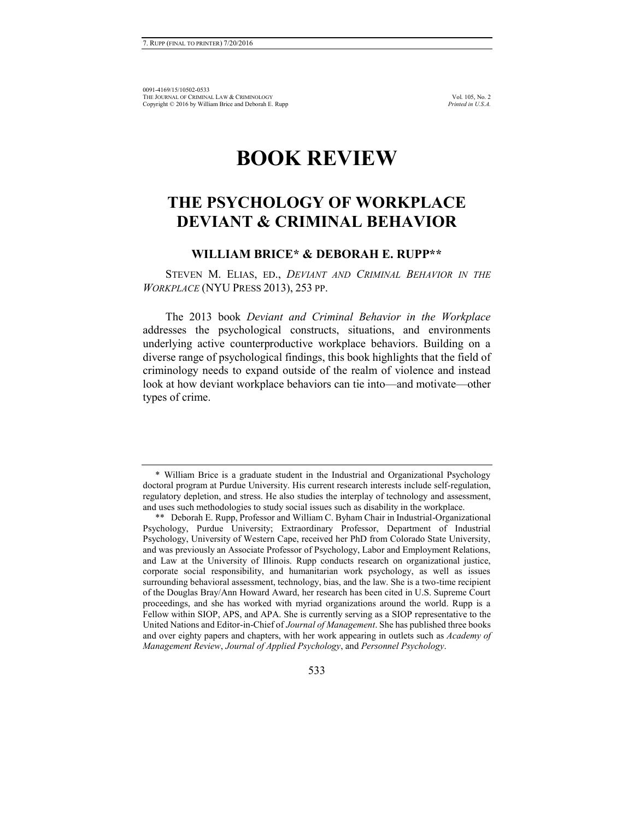# **BOOK REVIEW**

# **THE PSYCHOLOGY OF WORKPLACE DEVIANT & CRIMINAL BEHAVIOR**

### **WILLIAM BRICE\* & DEBORAH E. RUPP\*\***

STEVEN M. ELIAS, ED., *DEVIANT AND CRIMINAL BEHAVIOR IN THE WORKPLACE* (NYU PRESS 2013), 253 PP.

The 2013 book *Deviant and Criminal Behavior in the Workplace* addresses the psychological constructs, situations, and environments underlying active counterproductive workplace behaviors. Building on a diverse range of psychological findings, this book highlights that the field of criminology needs to expand outside of the realm of violence and instead look at how deviant workplace behaviors can tie into—and motivate—other types of crime.

<sup>\*</sup> William Brice is a graduate student in the Industrial and Organizational Psychology doctoral program at Purdue University. His current research interests include self-regulation, regulatory depletion, and stress. He also studies the interplay of technology and assessment, and uses such methodologies to study social issues such as disability in the workplace.

<sup>\*\*</sup> Deborah E. Rupp, Professor and William C. Byham Chair in Industrial-Organizational Psychology, Purdue University; Extraordinary Professor, Department of Industrial Psychology, University of Western Cape, received her PhD from Colorado State University, and was previously an Associate Professor of Psychology, Labor and Employment Relations, and Law at the University of Illinois. Rupp conducts research on organizational justice, corporate social responsibility, and humanitarian work psychology, as well as issues surrounding behavioral assessment, technology, bias, and the law. She is a two-time recipient of the Douglas Bray/Ann Howard Award, her research has been cited in U.S. Supreme Court proceedings, and she has worked with myriad organizations around the world. Rupp is a Fellow within SIOP, APS, and APA. She is currently serving as a SIOP representative to the United Nations and Editor-in-Chief of *Journal of Management*. She has published three books and over eighty papers and chapters, with her work appearing in outlets such as *Academy of Management Review*, *Journal of Applied Psychology*, and *Personnel Psychology*.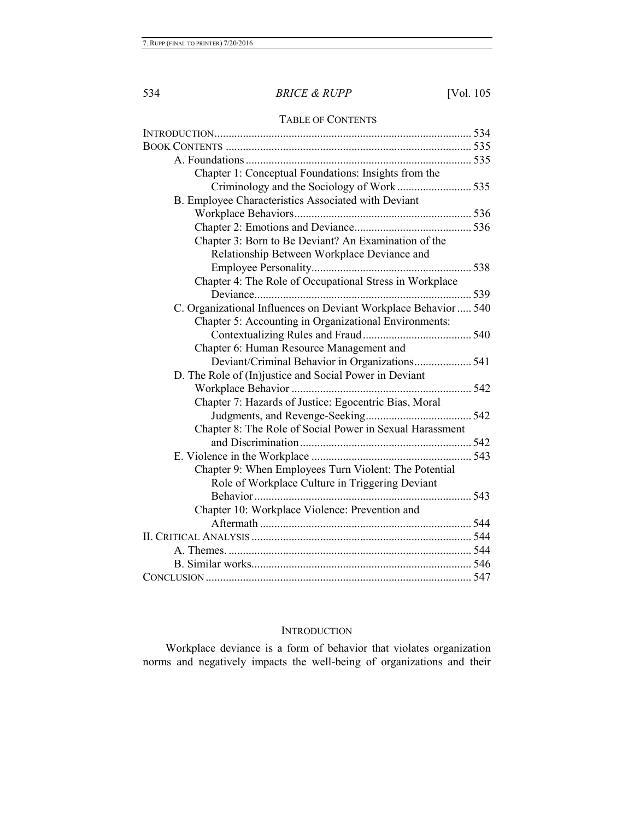#### TABLE OF CONTENTS

| Chapter 1: Conceptual Foundations: Insights from the            |  |
|-----------------------------------------------------------------|--|
|                                                                 |  |
| B. Employee Characteristics Associated with Deviant             |  |
|                                                                 |  |
|                                                                 |  |
| Chapter 3: Born to Be Deviant? An Examination of the            |  |
| Relationship Between Workplace Deviance and                     |  |
|                                                                 |  |
| Chapter 4: The Role of Occupational Stress in Workplace         |  |
|                                                                 |  |
| C. Organizational Influences on Deviant Workplace Behavior  540 |  |
| Chapter 5: Accounting in Organizational Environments:           |  |
|                                                                 |  |
| Chapter 6: Human Resource Management and                        |  |
| Deviant/Criminal Behavior in Organizations 541                  |  |
| D. The Role of (In) justice and Social Power in Deviant         |  |
|                                                                 |  |
| Chapter 7: Hazards of Justice: Egocentric Bias, Moral           |  |
|                                                                 |  |
| Chapter 8: The Role of Social Power in Sexual Harassment        |  |
|                                                                 |  |
|                                                                 |  |
| Chapter 9: When Employees Turn Violent: The Potential           |  |
| Role of Workplace Culture in Triggering Deviant                 |  |
|                                                                 |  |
| Chapter 10: Workplace Violence: Prevention and                  |  |
|                                                                 |  |
|                                                                 |  |
|                                                                 |  |
|                                                                 |  |
|                                                                 |  |

# INTRODUCTION

Workplace deviance is a form of behavior that violates organization norms and negatively impacts the well-being of organizations and their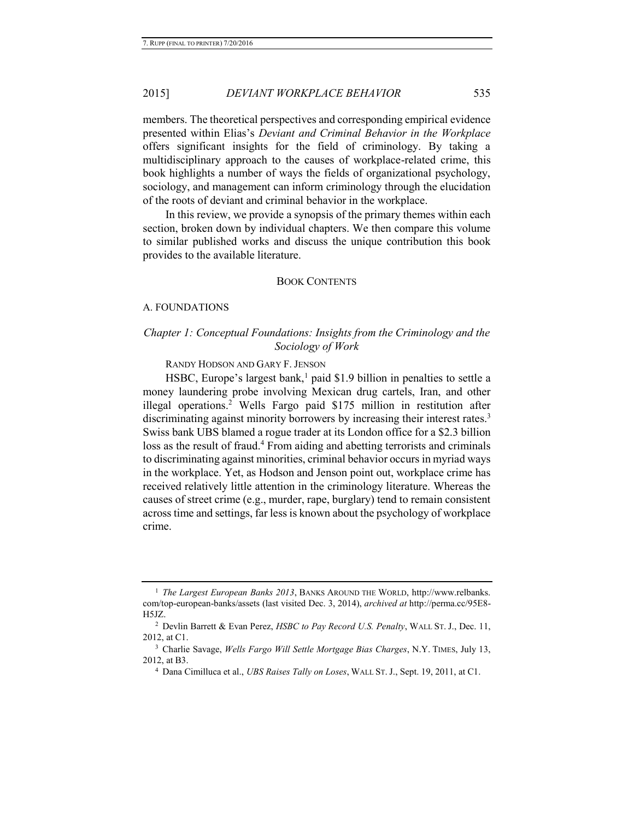members. The theoretical perspectives and corresponding empirical evidence presented within Elias's *Deviant and Criminal Behavior in the Workplace* offers significant insights for the field of criminology. By taking a multidisciplinary approach to the causes of workplace-related crime, this book highlights a number of ways the fields of organizational psychology, sociology, and management can inform criminology through the elucidation of the roots of deviant and criminal behavior in the workplace.

In this review, we provide a synopsis of the primary themes within each section, broken down by individual chapters. We then compare this volume to similar published works and discuss the unique contribution this book provides to the available literature.

# BOOK CONTENTS

#### A. FOUNDATIONS

# *Chapter 1: Conceptual Foundations: Insights from the Criminology and the Sociology of Work*

RANDY HODSON AND GARY F. JENSON

HSBC, Europe's largest bank,<sup>1</sup> paid \$1.9 billion in penalties to settle a money laundering probe involving Mexican drug cartels, Iran, and other illegal operations.<sup>2</sup> Wells Fargo paid \$175 million in restitution after discriminating against minority borrowers by increasing their interest rates.<sup>3</sup> Swiss bank UBS blamed a rogue trader at its London office for a \$2.3 billion loss as the result of fraud.<sup>4</sup> From aiding and abetting terrorists and criminals to discriminating against minorities, criminal behavior occurs in myriad ways in the workplace. Yet, as Hodson and Jenson point out, workplace crime has received relatively little attention in the criminology literature. Whereas the causes of street crime (e.g., murder, rape, burglary) tend to remain consistent across time and settings, far less is known about the psychology of workplace crime.

<sup>1</sup> *The Largest European Banks 2013*, BANKS AROUND THE WORLD, http://www.relbanks. com/top-european-banks/assets (last visited Dec. 3, 2014), *archived at* http://perma.cc/95E8- H5JZ.

<sup>2</sup> Devlin Barrett & Evan Perez, *HSBC to Pay Record U.S. Penalty*, WALL ST. J., Dec. 11, 2012, at C1.

<sup>3</sup> Charlie Savage, *Wells Fargo Will Settle Mortgage Bias Charges*, N.Y. TIMES, July 13, 2012, at B3.

<sup>4</sup> Dana Cimilluca et al., *UBS Raises Tally on Loses*, WALL ST. J., Sept. 19, 2011, at C1.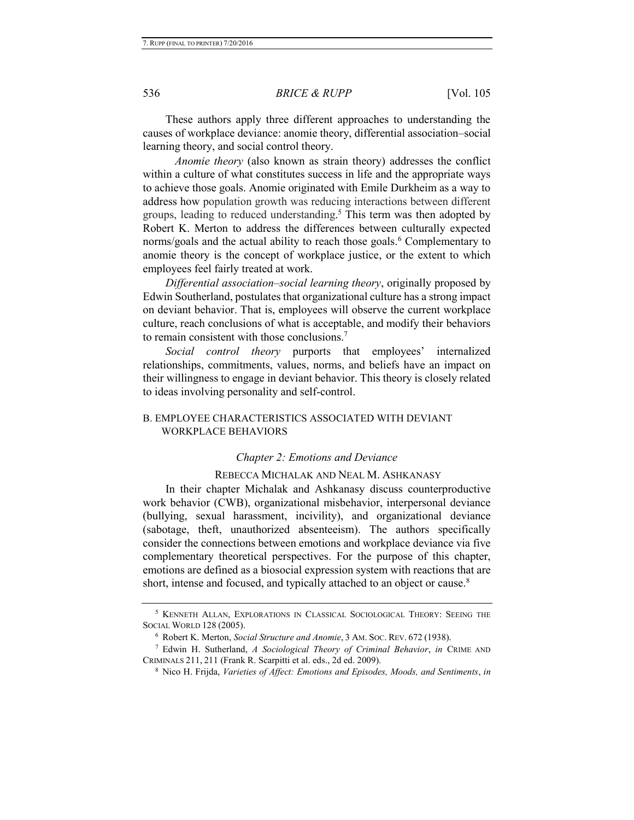These authors apply three different approaches to understanding the causes of workplace deviance: anomie theory, differential association–social learning theory, and social control theory.

*Anomie theory* (also known as strain theory) addresses the conflict within a culture of what constitutes success in life and the appropriate ways to achieve those goals. Anomie originated with Emile Durkheim as a way to address how population growth was reducing interactions between different groups, leading to reduced understanding. 5 This term was then adopted by Robert K. Merton to address the differences between culturally expected norms/goals and the actual ability to reach those goals.<sup>6</sup> Complementary to anomie theory is the concept of workplace justice, or the extent to which employees feel fairly treated at work.

 *Differential association–social learning theory*, originally proposed by Edwin Southerland, postulates that organizational culture has a strong impact on deviant behavior. That is, employees will observe the current workplace culture, reach conclusions of what is acceptable, and modify their behaviors to remain consistent with those conclusions.<sup>7</sup>

*Social control theory* purports that employees' internalized relationships, commitments, values, norms, and beliefs have an impact on their willingness to engage in deviant behavior. This theory is closely related to ideas involving personality and self-control.

# B. EMPLOYEE CHARACTERISTICS ASSOCIATED WITH DEVIANT WORKPLACE BEHAVIORS

# *Chapter 2: Emotions and Deviance*

# REBECCA MICHALAK AND NEAL M. ASHKANASY

In their chapter Michalak and Ashkanasy discuss counterproductive work behavior (CWB), organizational misbehavior, interpersonal deviance (bullying, sexual harassment, incivility), and organizational deviance (sabotage, theft, unauthorized absenteeism). The authors specifically consider the connections between emotions and workplace deviance via five complementary theoretical perspectives. For the purpose of this chapter, emotions are defined as a biosocial expression system with reactions that are short, intense and focused, and typically attached to an object or cause.<sup>8</sup>

<sup>5</sup> KENNETH ALLAN, EXPLORATIONS IN CLASSICAL SOCIOLOGICAL THEORY: SEEING THE SOCIAL WORLD 128 (2005).

<sup>6</sup> Robert K. Merton, *Social Structure and Anomie*, 3 AM. SOC. REV. 672 (1938).

<sup>7</sup> Edwin H. Sutherland, *A Sociological Theory of Criminal Behavior*, *in* CRIME AND CRIMINALS 211, 211 (Frank R. Scarpitti et al. eds., 2d ed. 2009).

<sup>8</sup> Nico H. Frijda, *Varieties of Affect: Emotions and Episodes, Moods, and Sentiments*, *in*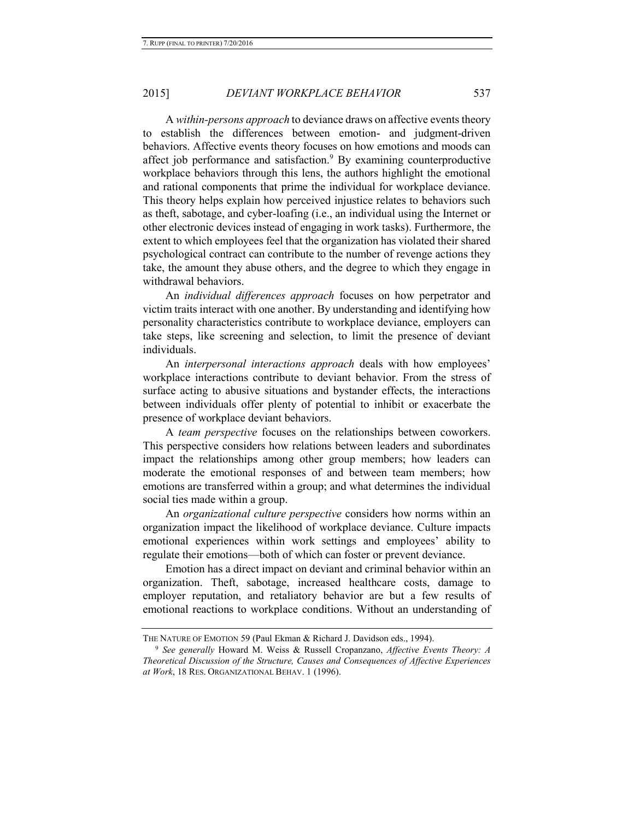A *within-persons approach* to deviance draws on affective events theory to establish the differences between emotion- and judgment-driven behaviors. Affective events theory focuses on how emotions and moods can affect job performance and satisfaction.<sup>9</sup> By examining counterproductive workplace behaviors through this lens, the authors highlight the emotional and rational components that prime the individual for workplace deviance. This theory helps explain how perceived injustice relates to behaviors such as theft, sabotage, and cyber-loafing (i.e., an individual using the Internet or other electronic devices instead of engaging in work tasks). Furthermore, the extent to which employees feel that the organization has violated their shared psychological contract can contribute to the number of revenge actions they take, the amount they abuse others, and the degree to which they engage in withdrawal behaviors.

An *individual differences approach* focuses on how perpetrator and victim traits interact with one another. By understanding and identifying how personality characteristics contribute to workplace deviance, employers can take steps, like screening and selection, to limit the presence of deviant individuals.

An *interpersonal interactions approach* deals with how employees' workplace interactions contribute to deviant behavior. From the stress of surface acting to abusive situations and bystander effects, the interactions between individuals offer plenty of potential to inhibit or exacerbate the presence of workplace deviant behaviors.

A *team perspective* focuses on the relationships between coworkers. This perspective considers how relations between leaders and subordinates impact the relationships among other group members; how leaders can moderate the emotional responses of and between team members; how emotions are transferred within a group; and what determines the individual social ties made within a group.

An *organizational culture perspective* considers how norms within an organization impact the likelihood of workplace deviance. Culture impacts emotional experiences within work settings and employees' ability to regulate their emotions—both of which can foster or prevent deviance.

Emotion has a direct impact on deviant and criminal behavior within an organization. Theft, sabotage, increased healthcare costs, damage to employer reputation, and retaliatory behavior are but a few results of emotional reactions to workplace conditions. Without an understanding of

THE NATURE OF EMOTION 59 (Paul Ekman & Richard J. Davidson eds., 1994).

<sup>9</sup> *See generally* Howard M. Weiss & Russell Cropanzano, *Affective Events Theory: A Theoretical Discussion of the Structure, Causes and Consequences of Affective Experiences at Work*, 18 RES. ORGANIZATIONAL BEHAV. 1 (1996).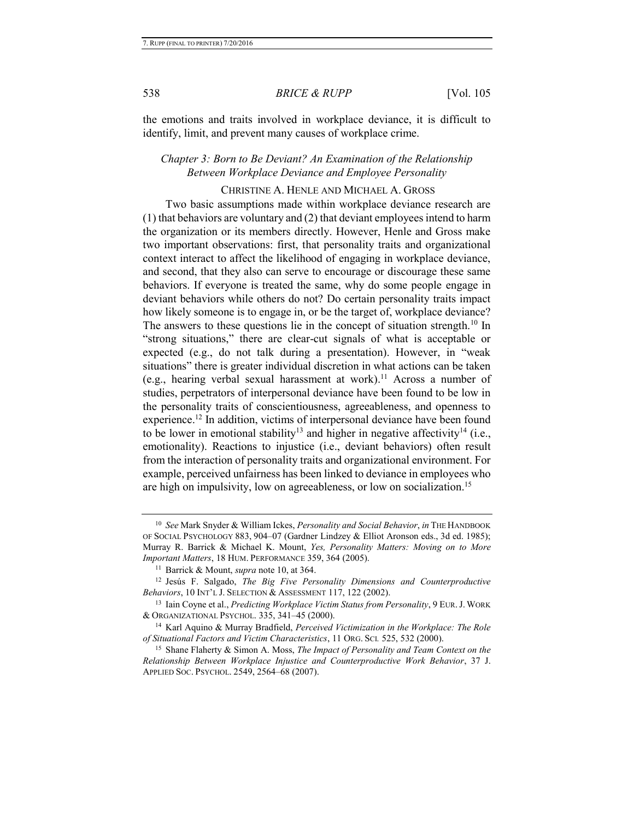the emotions and traits involved in workplace deviance, it is difficult to identify, limit, and prevent many causes of workplace crime.

# *Chapter 3: Born to Be Deviant? An Examination of the Relationship Between Workplace Deviance and Employee Personality*

# <span id="page-6-0"></span>CHRISTINE A. HENLE AND MICHAEL A. GROSS

Two basic assumptions made within workplace deviance research are (1) that behaviors are voluntary and (2) that deviant employees intend to harm the organization or its members directly. However, Henle and Gross make two important observations: first, that personality traits and organizational context interact to affect the likelihood of engaging in workplace deviance, and second, that they also can serve to encourage or discourage these same behaviors. If everyone is treated the same, why do some people engage in deviant behaviors while others do not? Do certain personality traits impact how likely someone is to engage in, or be the target of, workplace deviance? The answers to these questions lie in the concept of situation strength.<sup>10</sup> In "strong situations," there are clear-cut signals of what is acceptable or expected (e.g., do not talk during a presentation). However, in "weak situations" there is greater individual discretion in what actions can be taken (e.g., hearing verbal sexual harassment at work).<sup>11</sup> Across a number of studies, perpetrators of interpersonal deviance have been found to be low in the personality traits of conscientiousness, agreeableness, and openness to experience.<sup>12</sup> In addition, victims of interpersonal deviance have been found to be lower in emotional stability<sup>13</sup> and higher in negative affectivity<sup>14</sup> (i.e., emotionality). Reactions to injustice (i.e., deviant behaviors) often result from the interaction of personality traits and organizational environment. For example, perceived unfairness has been linked to deviance in employees who are high on impulsivity, low on agreeableness, or low on socialization.<sup>15</sup>

<sup>10</sup> *See* Mark Snyder & William Ickes, *Personality and Social Behavior*, *in* THE HANDBOOK OF SOCIAL PSYCHOLOGY 883, 904–07 (Gardner Lindzey & Elliot Aronson eds., 3d ed. 1985); Murray R. Barrick & Michael K. Mount, *Yes, Personality Matters: Moving on to More Important Matters*, 18 HUM. PERFORMANCE 359, 364 (2005).

<sup>11</sup> Barrick & Mount, *supra* not[e 10,](#page-6-0) at 364.

<sup>12</sup> Jesús F. Salgado, *The Big Five Personality Dimensions and Counterproductive Behaviors*, 10 INT'L J. SELECTION & ASSESSMENT 117, 122 (2002).

<sup>13</sup> Iain Coyne et al., *Predicting Workplace Victim Status from Personality*, 9 EUR.J. WORK & ORGANIZATIONAL PSYCHOL. 335, 341–45 (2000).

<sup>14</sup> Karl Aquino & Murray Bradfield, *Perceived Victimization in the Workplace: The Role of Situational Factors and Victim Characteristics*, 11 ORG. SCI*.* 525, 532 (2000).

<sup>15</sup> Shane Flaherty & Simon A. Moss, *The Impact of Personality and Team Context on the Relationship Between Workplace Injustice and Counterproductive Work Behavior*, 37 J. APPLIED SOC. PSYCHOL. 2549, 2564–68 (2007).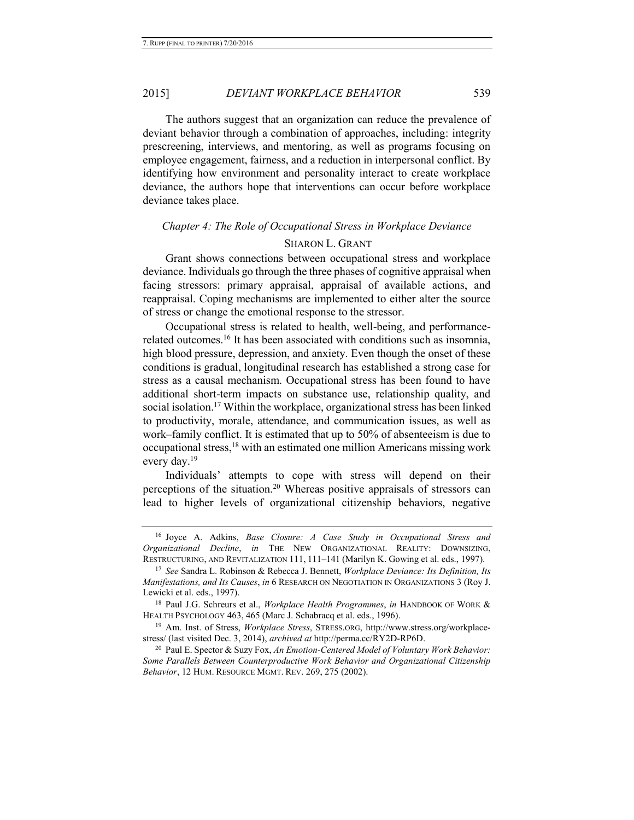The authors suggest that an organization can reduce the prevalence of deviant behavior through a combination of approaches, including: integrity prescreening, interviews, and mentoring, as well as programs focusing on employee engagement, fairness, and a reduction in interpersonal conflict. By identifying how environment and personality interact to create workplace deviance, the authors hope that interventions can occur before workplace deviance takes place.

#### *Chapter 4: The Role of Occupational Stress in Workplace Deviance*

#### SHARON L. GRANT

Grant shows connections between occupational stress and workplace deviance. Individuals go through the three phases of cognitive appraisal when facing stressors: primary appraisal, appraisal of available actions, and reappraisal. Coping mechanisms are implemented to either alter the source of stress or change the emotional response to the stressor.

Occupational stress is related to health, well-being, and performancerelated outcomes.<sup>16</sup> It has been associated with conditions such as insomnia, high blood pressure, depression, and anxiety. Even though the onset of these conditions is gradual, longitudinal research has established a strong case for stress as a causal mechanism. Occupational stress has been found to have additional short-term impacts on substance use, relationship quality, and social isolation.<sup>17</sup> Within the workplace, organizational stress has been linked to productivity, morale, attendance, and communication issues, as well as work–family conflict. It is estimated that up to 50% of absenteeism is due to occupational stress,<sup>18</sup> with an estimated one million Americans missing work every day.<sup>19</sup>

Individuals' attempts to cope with stress will depend on their perceptions of the situation.<sup>20</sup> Whereas positive appraisals of stressors can lead to higher levels of organizational citizenship behaviors, negative

<sup>16</sup> Joyce A. Adkins, *Base Closure: A Case Study in Occupational Stress and Organizational Decline*, *in* THE NEW ORGANIZATIONAL REALITY: DOWNSIZING, RESTRUCTURING, AND REVITALIZATION 111, 111–141 (Marilyn K. Gowing et al. eds., 1997).

<sup>17</sup> *See* Sandra L. Robinson & Rebecca J. Bennett, *Workplace Deviance: Its Definition, Its Manifestations, and Its Causes*, *in* 6 RESEARCH ON NEGOTIATION IN ORGANIZATIONS 3 (Roy J. Lewicki et al. eds., 1997).

<sup>18</sup> Paul J.G. Schreurs et al., *Workplace Health Programmes*, *in* HANDBOOK OF WORK & HEALTH PSYCHOLOGY 463, 465 (Marc J. Schabracq et al. eds., 1996).

<sup>19</sup> Am. Inst. of Stress, *Workplace Stress*, STRESS.ORG, http://www.stress.org/workplacestress/ (last visited Dec. 3, 2014), *archived at* http://perma.cc/RY2D-RP6D.

<sup>20</sup> Paul E. Spector & Suzy Fox, *An Emotion-Centered Model of Voluntary Work Behavior: Some Parallels Between Counterproductive Work Behavior and Organizational Citizenship Behavior*, 12 HUM. RESOURCE MGMT. REV. 269, 275 (2002).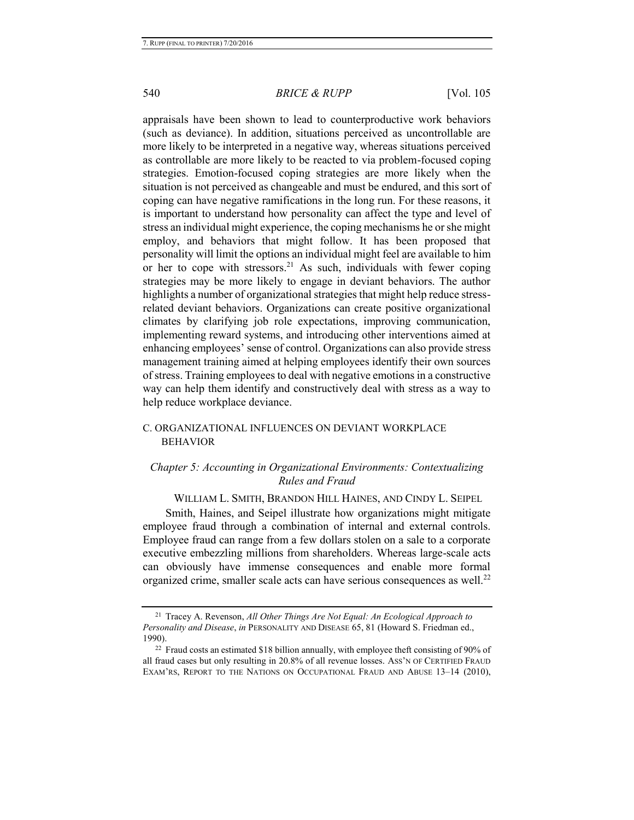appraisals have been shown to lead to counterproductive work behaviors (such as deviance). In addition, situations perceived as uncontrollable are more likely to be interpreted in a negative way, whereas situations perceived as controllable are more likely to be reacted to via problem-focused coping strategies. Emotion-focused coping strategies are more likely when the situation is not perceived as changeable and must be endured, and this sort of coping can have negative ramifications in the long run. For these reasons, it is important to understand how personality can affect the type and level of stress an individual might experience, the coping mechanisms he or she might employ, and behaviors that might follow. It has been proposed that personality will limit the options an individual might feel are available to him or her to cope with stressors.<sup>21</sup> As such, individuals with fewer coping strategies may be more likely to engage in deviant behaviors. The author highlights a number of organizational strategies that might help reduce stressrelated deviant behaviors. Organizations can create positive organizational climates by clarifying job role expectations, improving communication, implementing reward systems, and introducing other interventions aimed at enhancing employees' sense of control. Organizations can also provide stress management training aimed at helping employees identify their own sources of stress. Training employees to deal with negative emotions in a constructive way can help them identify and constructively deal with stress as a way to help reduce workplace deviance.

# C. ORGANIZATIONAL INFLUENCES ON DEVIANT WORKPLACE BEHAVIOR

# *Chapter 5: Accounting in Organizational Environments: Contextualizing Rules and Fraud*

WILLIAM L. SMITH, BRANDON HILL HAINES, AND CINDY L. SEIPEL

Smith, Haines, and Seipel illustrate how organizations might mitigate employee fraud through a combination of internal and external controls. Employee fraud can range from a few dollars stolen on a sale to a corporate executive embezzling millions from shareholders. Whereas large-scale acts can obviously have immense consequences and enable more formal organized crime, smaller scale acts can have serious consequences as well.<sup>22</sup>

<sup>21</sup> Tracey A. Revenson, *All Other Things Are Not Equal: An Ecological Approach to Personality and Disease*, *in* PERSONALITY AND DISEASE 65, 81 (Howard S. Friedman ed., 1990).

<sup>&</sup>lt;sup>22</sup> Fraud costs an estimated \$18 billion annually, with employee theft consisting of 90% of all fraud cases but only resulting in 20.8% of all revenue losses. ASS'N OF CERTIFIED FRAUD EXAM'RS, REPORT TO THE NATIONS ON OCCUPATIONAL FRAUD AND ABUSE 13–14 (2010),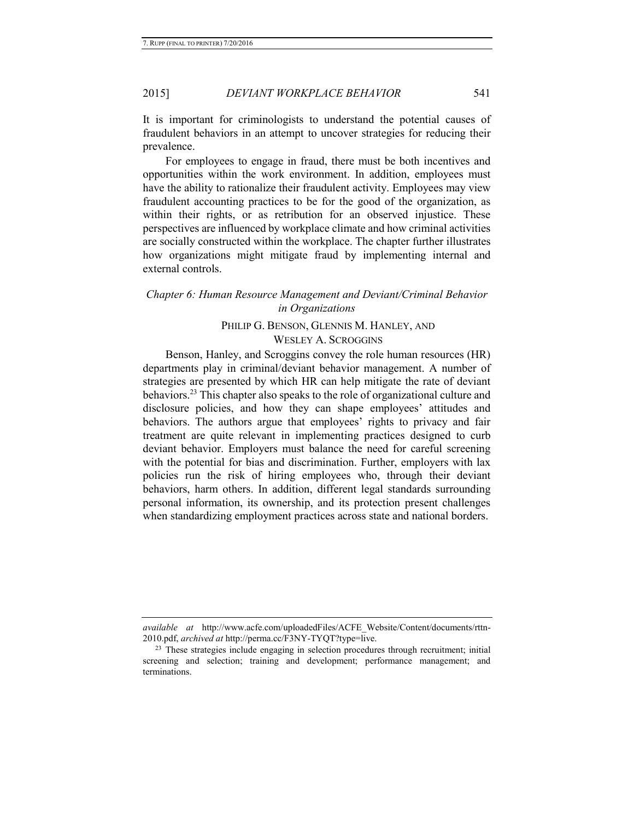It is important for criminologists to understand the potential causes of fraudulent behaviors in an attempt to uncover strategies for reducing their prevalence.

For employees to engage in fraud, there must be both incentives and opportunities within the work environment. In addition, employees must have the ability to rationalize their fraudulent activity. Employees may view fraudulent accounting practices to be for the good of the organization, as within their rights, or as retribution for an observed injustice. These perspectives are influenced by workplace climate and how criminal activities are socially constructed within the workplace. The chapter further illustrates how organizations might mitigate fraud by implementing internal and external controls.

# *Chapter 6: Human Resource Management and Deviant/Criminal Behavior in Organizations*

# PHILIP G. BENSON, GLENNIS M. HANLEY, AND WESLEY A. SCROGGINS

Benson, Hanley, and Scroggins convey the role human resources (HR) departments play in criminal/deviant behavior management. A number of strategies are presented by which HR can help mitigate the rate of deviant behaviors.<sup>23</sup> This chapter also speaks to the role of organizational culture and disclosure policies, and how they can shape employees' attitudes and behaviors. The authors argue that employees' rights to privacy and fair treatment are quite relevant in implementing practices designed to curb deviant behavior. Employers must balance the need for careful screening with the potential for bias and discrimination. Further, employers with lax policies run the risk of hiring employees who, through their deviant behaviors, harm others. In addition, different legal standards surrounding personal information, its ownership, and its protection present challenges when standardizing employment practices across state and national borders.

*available at* http://www.acfe.com/uploadedFiles/ACFE\_Website/Content/documents/rttn-2010.pdf, *archived at* http://perma.cc/F3NY-TYQT?type=live.

<sup>&</sup>lt;sup>23</sup> These strategies include engaging in selection procedures through recruitment; initial screening and selection; training and development; performance management; and terminations.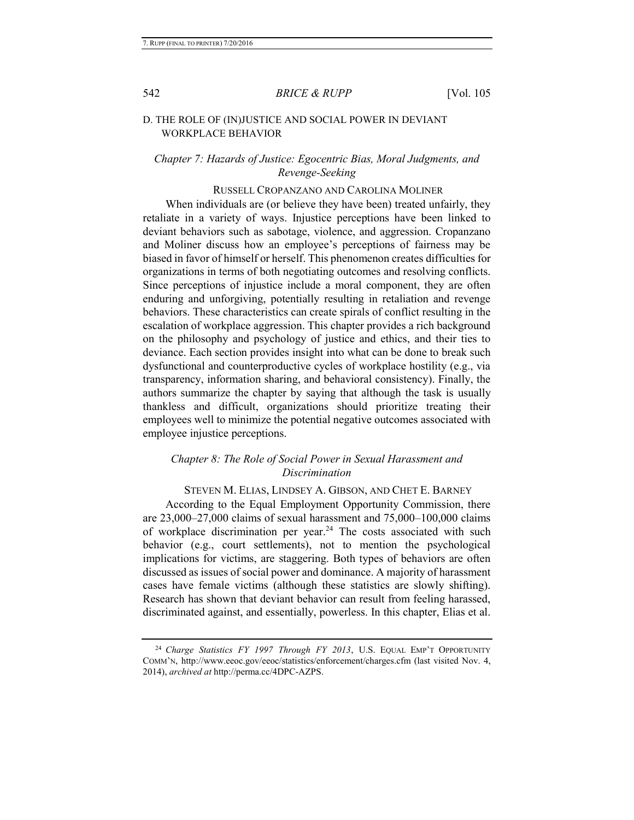# D. THE ROLE OF (IN)JUSTICE AND SOCIAL POWER IN DEVIANT WORKPLACE BEHAVIOR

# *Chapter 7: Hazards of Justice: Egocentric Bias, Moral Judgments, and Revenge-Seeking*

#### RUSSELL CROPANZANO AND CAROLINA MOLINER

When individuals are (or believe they have been) treated unfairly, they retaliate in a variety of ways. Injustice perceptions have been linked to deviant behaviors such as sabotage, violence, and aggression. Cropanzano and Moliner discuss how an employee's perceptions of fairness may be biased in favor of himself or herself. This phenomenon creates difficulties for organizations in terms of both negotiating outcomes and resolving conflicts. Since perceptions of injustice include a moral component, they are often enduring and unforgiving, potentially resulting in retaliation and revenge behaviors. These characteristics can create spirals of conflict resulting in the escalation of workplace aggression. This chapter provides a rich background on the philosophy and psychology of justice and ethics, and their ties to deviance. Each section provides insight into what can be done to break such dysfunctional and counterproductive cycles of workplace hostility (e.g., via transparency, information sharing, and behavioral consistency). Finally, the authors summarize the chapter by saying that although the task is usually thankless and difficult, organizations should prioritize treating their employees well to minimize the potential negative outcomes associated with employee injustice perceptions.

# *Chapter 8: The Role of Social Power in Sexual Harassment and Discrimination*

STEVEN M. ELIAS, LINDSEY A. GIBSON, AND CHET E. BARNEY

According to the Equal Employment Opportunity Commission, there are 23,000–27,000 claims of sexual harassment and 75,000–100,000 claims of workplace discrimination per year.<sup>24</sup> The costs associated with such behavior (e.g., court settlements), not to mention the psychological implications for victims, are staggering. Both types of behaviors are often discussed as issues of social power and dominance. A majority of harassment cases have female victims (although these statistics are slowly shifting). Research has shown that deviant behavior can result from feeling harassed, discriminated against, and essentially, powerless. In this chapter, Elias et al.

<sup>24</sup> *Charge Statistics FY 1997 Through FY 2013*, U.S. EQUAL EMP'T OPPORTUNITY COMM'N, http://www.eeoc.gov/eeoc/statistics/enforcement/charges.cfm (last visited Nov. 4, 2014), *archived at* http://perma.cc/4DPC-AZPS.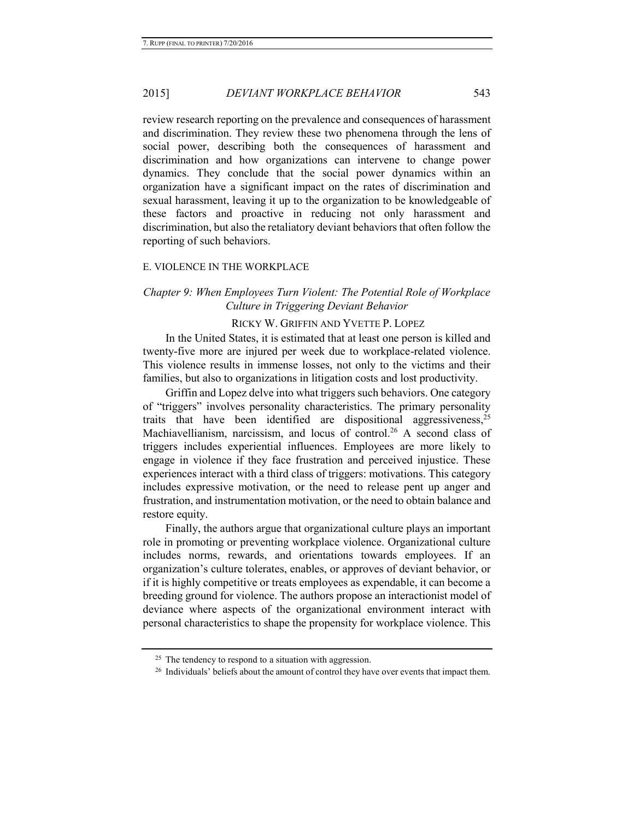review research reporting on the prevalence and consequences of harassment and discrimination. They review these two phenomena through the lens of social power, describing both the consequences of harassment and discrimination and how organizations can intervene to change power dynamics. They conclude that the social power dynamics within an organization have a significant impact on the rates of discrimination and sexual harassment, leaving it up to the organization to be knowledgeable of these factors and proactive in reducing not only harassment and discrimination, but also the retaliatory deviant behaviors that often follow the reporting of such behaviors.

#### E. VIOLENCE IN THE WORKPLACE

# *Chapter 9: When Employees Turn Violent: The Potential Role of Workplace Culture in Triggering Deviant Behavior*

#### RICKY W. GRIFFIN AND YVETTE P. LOPEZ

In the United States, it is estimated that at least one person is killed and twenty-five more are injured per week due to workplace-related violence. This violence results in immense losses, not only to the victims and their families, but also to organizations in litigation costs and lost productivity.

Griffin and Lopez delve into what triggers such behaviors. One category of "triggers" involves personality characteristics. The primary personality traits that have been identified are dispositional aggressiveness,  $2<sup>5</sup>$ Machiavellianism, narcissism, and locus of control.<sup>26</sup> A second class of triggers includes experiential influences. Employees are more likely to engage in violence if they face frustration and perceived injustice. These experiences interact with a third class of triggers: motivations. This category includes expressive motivation, or the need to release pent up anger and frustration, and instrumentation motivation, or the need to obtain balance and restore equity.

Finally, the authors argue that organizational culture plays an important role in promoting or preventing workplace violence. Organizational culture includes norms, rewards, and orientations towards employees. If an organization's culture tolerates, enables, or approves of deviant behavior, or if it is highly competitive or treats employees as expendable, it can become a breeding ground for violence. The authors propose an interactionist model of deviance where aspects of the organizational environment interact with personal characteristics to shape the propensity for workplace violence. This

<sup>&</sup>lt;sup>25</sup> The tendency to respond to a situation with aggression.

<sup>&</sup>lt;sup>26</sup> Individuals' beliefs about the amount of control they have over events that impact them.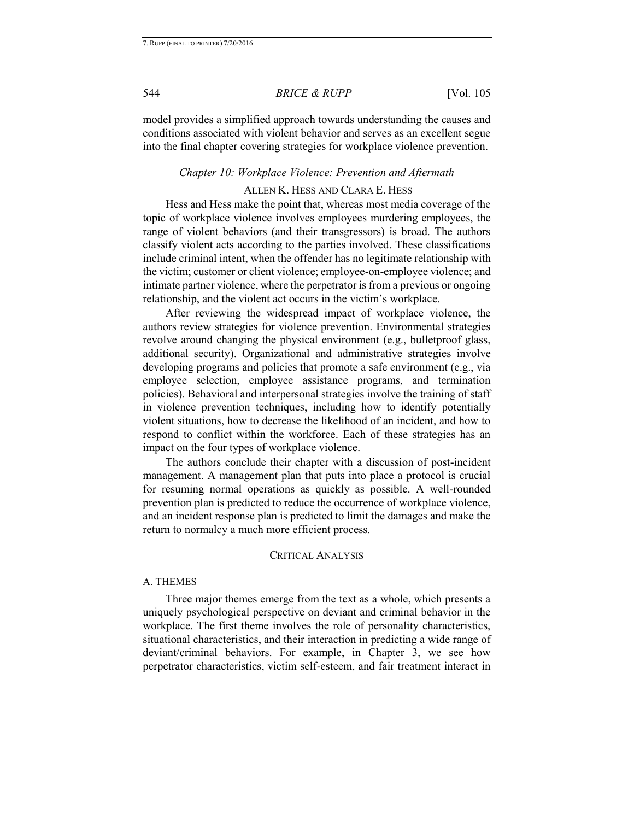model provides a simplified approach towards understanding the causes and conditions associated with violent behavior and serves as an excellent segue into the final chapter covering strategies for workplace violence prevention.

#### *Chapter 10: Workplace Violence: Prevention and Aftermath*

### ALLEN K. HESS AND CLARA E. HESS

Hess and Hess make the point that, whereas most media coverage of the topic of workplace violence involves employees murdering employees, the range of violent behaviors (and their transgressors) is broad. The authors classify violent acts according to the parties involved. These classifications include criminal intent, when the offender has no legitimate relationship with the victim; customer or client violence; employee-on-employee violence; and intimate partner violence, where the perpetrator is from a previous or ongoing relationship, and the violent act occurs in the victim's workplace.

After reviewing the widespread impact of workplace violence, the authors review strategies for violence prevention. Environmental strategies revolve around changing the physical environment (e.g., bulletproof glass, additional security). Organizational and administrative strategies involve developing programs and policies that promote a safe environment (e.g., via employee selection, employee assistance programs, and termination policies). Behavioral and interpersonal strategies involve the training of staff in violence prevention techniques, including how to identify potentially violent situations, how to decrease the likelihood of an incident, and how to respond to conflict within the workforce. Each of these strategies has an impact on the four types of workplace violence.

The authors conclude their chapter with a discussion of post-incident management. A management plan that puts into place a protocol is crucial for resuming normal operations as quickly as possible. A well-rounded prevention plan is predicted to reduce the occurrence of workplace violence, and an incident response plan is predicted to limit the damages and make the return to normalcy a much more efficient process.

#### CRITICAL ANALYSIS

#### A. THEMES

Three major themes emerge from the text as a whole, which presents a uniquely psychological perspective on deviant and criminal behavior in the workplace. The first theme involves the role of personality characteristics, situational characteristics, and their interaction in predicting a wide range of deviant/criminal behaviors. For example, in Chapter 3, we see how perpetrator characteristics, victim self-esteem, and fair treatment interact in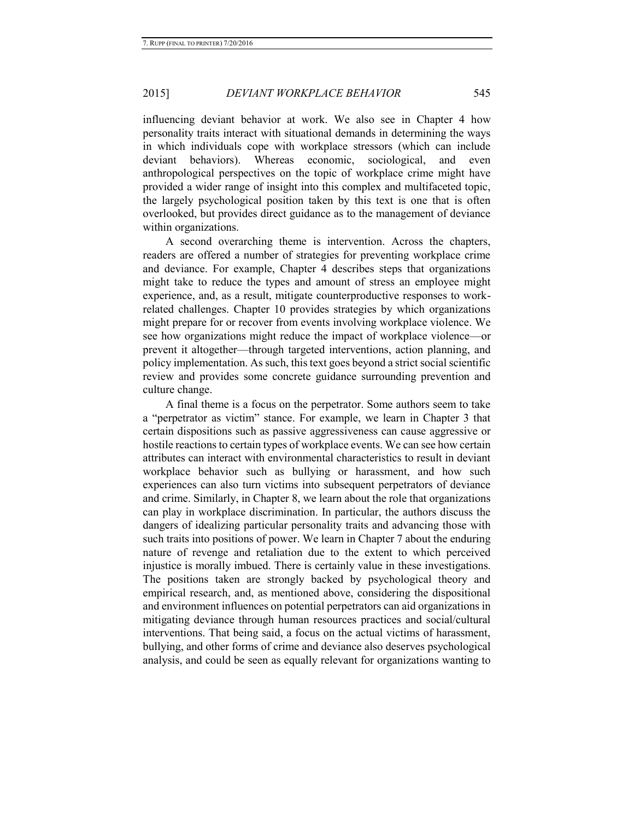influencing deviant behavior at work. We also see in Chapter 4 how personality traits interact with situational demands in determining the ways in which individuals cope with workplace stressors (which can include deviant behaviors). Whereas economic, sociological, and even anthropological perspectives on the topic of workplace crime might have provided a wider range of insight into this complex and multifaceted topic, the largely psychological position taken by this text is one that is often overlooked, but provides direct guidance as to the management of deviance within organizations.

A second overarching theme is intervention. Across the chapters, readers are offered a number of strategies for preventing workplace crime and deviance. For example, Chapter 4 describes steps that organizations might take to reduce the types and amount of stress an employee might experience, and, as a result, mitigate counterproductive responses to workrelated challenges. Chapter 10 provides strategies by which organizations might prepare for or recover from events involving workplace violence. We see how organizations might reduce the impact of workplace violence—or prevent it altogether—through targeted interventions, action planning, and policy implementation. As such, this text goes beyond a strict social scientific review and provides some concrete guidance surrounding prevention and culture change.

A final theme is a focus on the perpetrator. Some authors seem to take a "perpetrator as victim" stance. For example, we learn in Chapter 3 that certain dispositions such as passive aggressiveness can cause aggressive or hostile reactions to certain types of workplace events. We can see how certain attributes can interact with environmental characteristics to result in deviant workplace behavior such as bullying or harassment, and how such experiences can also turn victims into subsequent perpetrators of deviance and crime. Similarly, in Chapter 8, we learn about the role that organizations can play in workplace discrimination. In particular, the authors discuss the dangers of idealizing particular personality traits and advancing those with such traits into positions of power. We learn in Chapter 7 about the enduring nature of revenge and retaliation due to the extent to which perceived injustice is morally imbued. There is certainly value in these investigations. The positions taken are strongly backed by psychological theory and empirical research, and, as mentioned above, considering the dispositional and environment influences on potential perpetrators can aid organizations in mitigating deviance through human resources practices and social/cultural interventions. That being said, a focus on the actual victims of harassment, bullying, and other forms of crime and deviance also deserves psychological analysis, and could be seen as equally relevant for organizations wanting to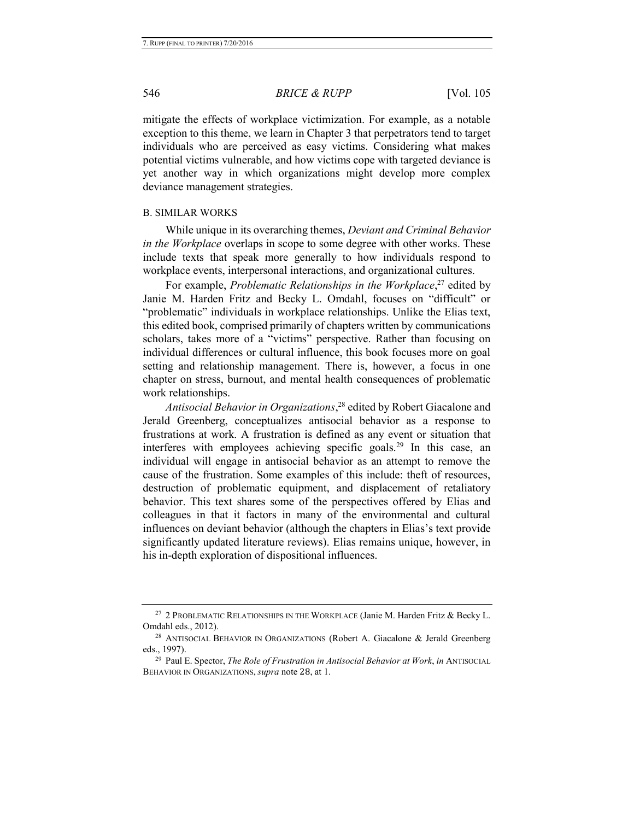mitigate the effects of workplace victimization. For example, as a notable exception to this theme, we learn in Chapter 3 that perpetrators tend to target individuals who are perceived as easy victims. Considering what makes potential victims vulnerable, and how victims cope with targeted deviance is yet another way in which organizations might develop more complex deviance management strategies.

#### B. SIMILAR WORKS

While unique in its overarching themes, *Deviant and Criminal Behavior in the Workplace* overlaps in scope to some degree with other works. These include texts that speak more generally to how individuals respond to workplace events, interpersonal interactions, and organizational cultures.

For example, *Problematic Relationships in the Workplace*<sup>27</sup> edited by Janie M. Harden Fritz and Becky L. Omdahl, focuses on "difficult" or "problematic" individuals in workplace relationships. Unlike the Elias text, this edited book, comprised primarily of chapters written by communications scholars, takes more of a "victims" perspective. Rather than focusing on individual differences or cultural influence, this book focuses more on goal setting and relationship management. There is, however, a focus in one chapter on stress, burnout, and mental health consequences of problematic work relationships.

<span id="page-14-0"></span>*Antisocial Behavior in Organizations*, <sup>28</sup> edited by Robert Giacalone and Jerald Greenberg, conceptualizes antisocial behavior as a response to frustrations at work. A frustration is defined as any event or situation that interferes with employees achieving specific goals.<sup>29</sup> In this case, an individual will engage in antisocial behavior as an attempt to remove the cause of the frustration. Some examples of this include: theft of resources, destruction of problematic equipment, and displacement of retaliatory behavior. This text shares some of the perspectives offered by Elias and colleagues in that it factors in many of the environmental and cultural influences on deviant behavior (although the chapters in Elias's text provide significantly updated literature reviews). Elias remains unique, however, in his in-depth exploration of dispositional influences.

<sup>&</sup>lt;sup>27</sup> 2 PROBLEMATIC RELATIONSHIPS IN THE WORKPLACE (Janie M. Harden Fritz & Becky L. Omdahl eds., 2012).

<sup>&</sup>lt;sup>28</sup> ANTISOCIAL BEHAVIOR IN ORGANIZATIONS (Robert A. Giacalone & Jerald Greenberg eds., 1997).

<sup>29</sup> Paul E. Spector, *The Role of Frustration in Antisocial Behavior at Work*, *in* ANTISOCIAL BEHAVIOR IN ORGANIZATIONS, *supra* note [28](#page-14-0), at 1.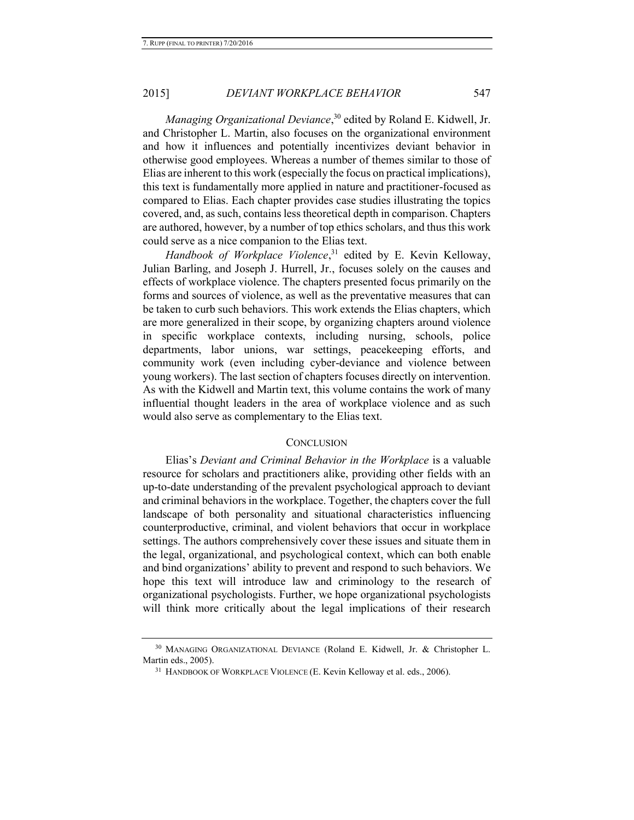*Managing Organizational Deviance*, <sup>30</sup> edited by Roland E. Kidwell, Jr. and Christopher L. Martin, also focuses on the organizational environment and how it influences and potentially incentivizes deviant behavior in otherwise good employees. Whereas a number of themes similar to those of Elias are inherent to this work (especially the focus on practical implications), this text is fundamentally more applied in nature and practitioner-focused as compared to Elias. Each chapter provides case studies illustrating the topics covered, and, as such, contains less theoretical depth in comparison. Chapters are authored, however, by a number of top ethics scholars, and thus this work could serve as a nice companion to the Elias text.

*Handbook of Workplace Violence*, <sup>31</sup> edited by E. Kevin Kelloway, Julian Barling, and Joseph J. Hurrell, Jr., focuses solely on the causes and effects of workplace violence. The chapters presented focus primarily on the forms and sources of violence, as well as the preventative measures that can be taken to curb such behaviors. This work extends the Elias chapters, which are more generalized in their scope, by organizing chapters around violence in specific workplace contexts, including nursing, schools, police departments, labor unions, war settings, peacekeeping efforts, and community work (even including cyber-deviance and violence between young workers). The last section of chapters focuses directly on intervention. As with the Kidwell and Martin text, this volume contains the work of many influential thought leaders in the area of workplace violence and as such would also serve as complementary to the Elias text.

# **CONCLUSION**

Elias's *Deviant and Criminal Behavior in the Workplace* is a valuable resource for scholars and practitioners alike, providing other fields with an up-to-date understanding of the prevalent psychological approach to deviant and criminal behaviors in the workplace. Together, the chapters cover the full landscape of both personality and situational characteristics influencing counterproductive, criminal, and violent behaviors that occur in workplace settings. The authors comprehensively cover these issues and situate them in the legal, organizational, and psychological context, which can both enable and bind organizations' ability to prevent and respond to such behaviors. We hope this text will introduce law and criminology to the research of organizational psychologists. Further, we hope organizational psychologists will think more critically about the legal implications of their research

<sup>&</sup>lt;sup>30</sup> MANAGING ORGANIZATIONAL DEVIANCE (Roland E. Kidwell, Jr. & Christopher L. Martin eds., 2005).

<sup>&</sup>lt;sup>31</sup> HANDBOOK OF WORKPLACE VIOLENCE (E. Kevin Kelloway et al. eds., 2006).